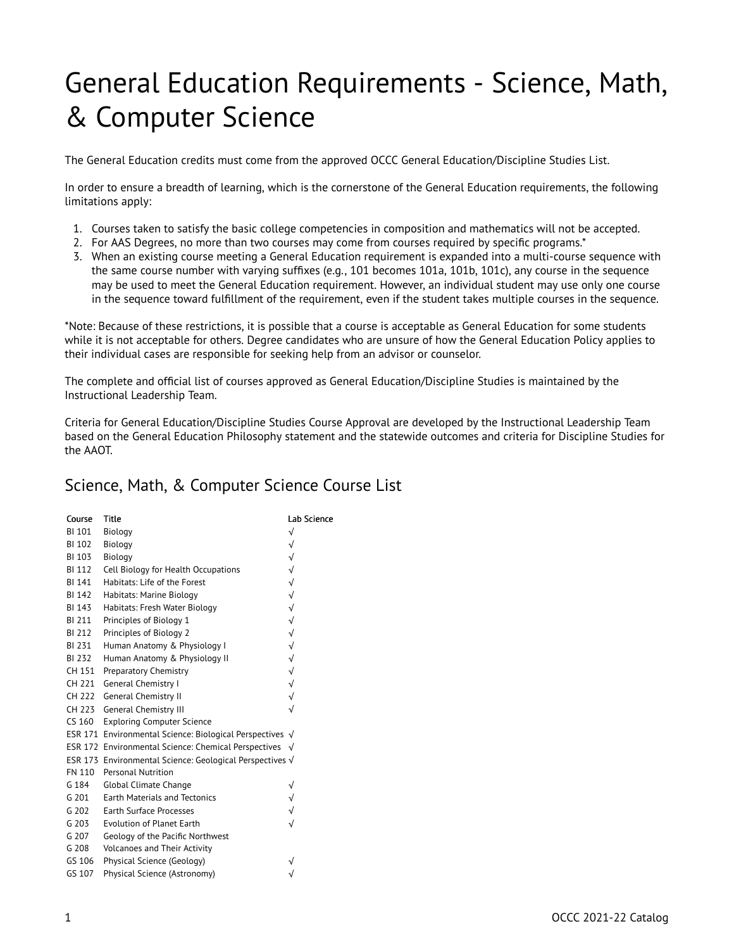## General Education Requirements - Science, Math, & Computer Science

The General Education credits must come from the approved OCCC General Education/Discipline Studies List.

In order to ensure a breadth of learning, which is the cornerstone of the General Education requirements, the following limitations apply:

- 1. Courses taken to satisfy the basic college competencies in composition and mathematics will not be accepted.
- 2. For AAS Degrees, no more than two courses may come from courses required by specific programs.\*
- 3. When an existing course meeting a General Education requirement is expanded into a multi-course sequence with the same course number with varying suffixes (e.g., 101 becomes 101a, 101b, 101c), any course in the sequence may be used to meet the General Education requirement. However, an individual student may use only one course in the sequence toward fulfillment of the requirement, even if the student takes multiple courses in the sequence.

\*Note: Because of these restrictions, it is possible that a course is acceptable as General Education for some students while it is not acceptable for others. Degree candidates who are unsure of how the General Education Policy applies to their individual cases are responsible for seeking help from an advisor or counselor.

The complete and official list of courses approved as General Education/Discipline Studies is maintained by the Instructional Leadership Team.

Criteria for General Education/Discipline Studies Course Approval are developed by the Instructional Leadership Team based on the General Education Philosophy statement and the statewide outcomes and criteria for Discipline Studies for the AAOT.

## Science, Math, & Computer Science Course List

| Course        | <b>Title</b>                                                     | Lab Science  |
|---------------|------------------------------------------------------------------|--------------|
| <b>BI 101</b> | Biology                                                          | $\sqrt{}$    |
| BI 102        | Biology                                                          | $\sqrt{}$    |
| BI 103        | Biology                                                          | $\sqrt{}$    |
| <b>BI 112</b> | Cell Biology for Health Occupations                              | √            |
| <b>BI 141</b> | Habitats: Life of the Forest                                     | $\checkmark$ |
| BI 142        | Habitats: Marine Biology                                         | $\sqrt{ }$   |
| BI 143        | Habitats: Fresh Water Biology                                    | $\sqrt{}$    |
| <b>BI 211</b> | Principles of Biology 1                                          | $\sqrt{ }$   |
| <b>BI 212</b> | Principles of Biology 2                                          | $\sqrt{}$    |
| BI 231        | Human Anatomy & Physiology I                                     | $\sqrt{}$    |
| BI 232        | Human Anatomy & Physiology II                                    | $\checkmark$ |
| CH 151        | Preparatory Chemistry                                            | $\sqrt{}$    |
| CH 221        | General Chemistry I                                              | $\sqrt{}$    |
| CH 222        | <b>General Chemistry II</b>                                      | $\sqrt{ }$   |
|               | CH 223 General Chemistry III                                     | $\sqrt{}$    |
| CS 160        | <b>Exploring Computer Science</b>                                |              |
|               | ESR 171 Environmental Science: Biological Perspectives $\sqrt{}$ |              |
|               | ESR 172 Environmental Science: Chemical Perspectives $\sqrt{}$   |              |
|               | ESR 173 Environmental Science: Geological Perspectives √         |              |
| FN 110        | Personal Nutrition                                               |              |
| G 184         | Global Climate Change                                            |              |
| G 201         | <b>Earth Materials and Tectonics</b>                             |              |
| G 202         | <b>Earth Surface Processes</b>                                   |              |
| G 203         | Evolution of Planet Earth                                        |              |
| G 207         | Geology of the Pacific Northwest                                 |              |
| G 208         | <b>Volcanoes and Their Activity</b>                              |              |
| GS 106        | Physical Science (Geology)                                       |              |
| GS 107        | Physical Science (Astronomy)                                     |              |
|               |                                                                  |              |